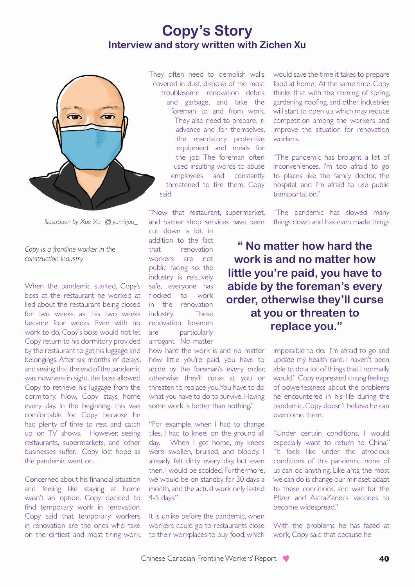## **Copy's Story Interview and story written with Zichen Xu**



*Illustration by Xue Xu. @ yumigou\_*

*Copy is a frontline worker in the construction industry* 

When the pandemic started, Copy's boss at the restaurant he worked at lied about the restaurant being closed for two weeks, as this two weeks became four weeks. Even with no work to do, Copy's boss would not let Copy return to his dormitory provided by the restaurant to get his luggage and belongings. After six months of delays, and seeing that the end of the pandemic was nowhere in sight, the boss allowed Copy to retrieve his luggage from the dormitory. Now, Copy stays home every day. In the beginning, this was comfortable for Copy because he had plenty of time to rest and catch up on TV shows. However, seeing restaurants, supermarkets, and other businesses suffer, Copy lost hope as the pandemic went on.

Concerned about his financial situation and feeling like staying at home wasn't an option, Copy decided to find temporary work in renovation. Copy said that temporary workers in renovation are the ones who take on the dirtiest and most tiring work. They often need to demolish walls covered in dust, dispose of the most troublesome renovation debris and garbage, and take the foreman to and from work. They also need to prepare, in advance and for themselves, the mandatory protective equipment and meals for the job. The foreman often used insulting words to abuse employees and constantly threatened to fire them. Copy said:

"Now that restaurant, supermarket, and barber shop services have been

cut down a lot, in addition to the fact that renovation workers are not public facing so the industry is relatively safe, everyone has flocked to work in the renovation industry. These renovation foremen are particularly arrogant. No matter

how hard the work is and no matter how little you're paid, you have to abide by the foreman's every order, otherwise they'll curse at you or threaten to replace you. You have to do what you have to do to survive. Having some work is better than nothing."

"For example, when I had to change tiles, I had to kneel on the ground all day. When I got home, my knees were swollen, bruised, and bloody. I already felt dirty every day, but even then, I would be scolded. Furthermore, we would be on standby for 30 days a month, and the actual work only lasted 4-5 days."

It is unlike before the pandemic, when workers could go to restaurants close to their workplaces to buy food, which

would save the time it takes to prepare food at home. At the same time, Copy thinks that with the coming of spring, gardening, roofing, and other industries will start to open up, which may reduce competition among the workers and improve the situation for renovation workers.

"The pandemic has brought a lot of inconveniences. I'm too afraid to go to places like the family doctor, the hospital, and I'm afraid to use public transportation."

"The pandemic has slowed many things down and has even made things

**" No matter how hard the work is and no matter how little you're paid, you have to abide by the foreman's every order, otherwise they'll curse at you or threaten to replace you."** 

> impossible to do. I'm afraid to go and update my health card. I haven't been able to do a lot of things that I normally would." Copy expressed strong feelings of powerlessness about the problems he encountered in his life during the pandemic. Copy doesn't believe he can overcome them.

> "Under certain conditions, I would especially want to return to China." "It feels like under the atrocious conditions of this pandemic, none of us can do anything. Like ants, the most we can do is change our mindset, adapt to these conditions, and wait for the Pfizer and AstraZeneca vaccines to become widespread."

> With the problems he has faced at work, Copy said that because he